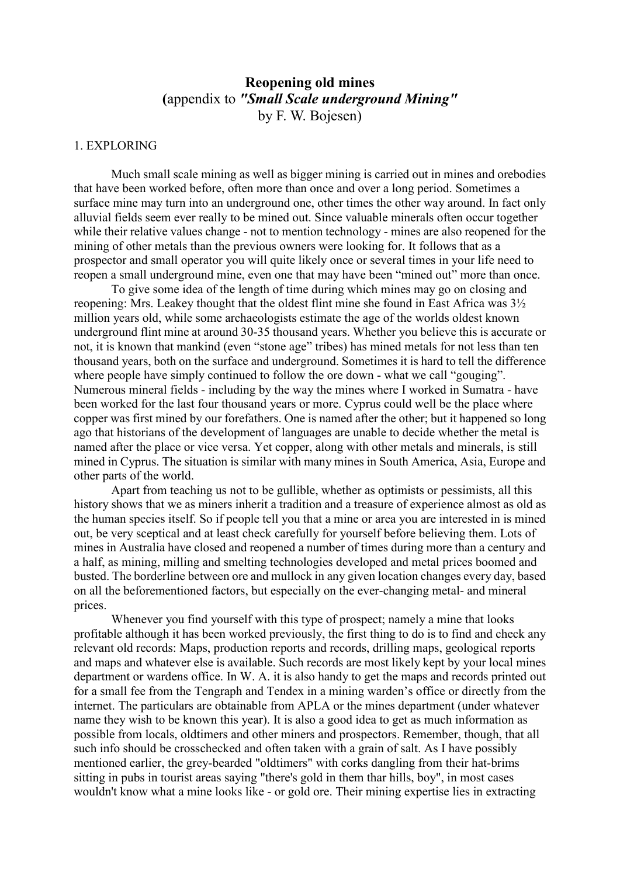# **Reopening old mines (**appendix to *"Small Scale underground Mining"* by F. W. Bojesen)

## 1. EXPLORING

 Much small scale mining as well as bigger mining is carried out in mines and orebodies that have been worked before, often more than once and over a long period. Sometimes a surface mine may turn into an underground one, other times the other way around. In fact only alluvial fields seem ever really to be mined out. Since valuable minerals often occur together while their relative values change - not to mention technology - mines are also reopened for the mining of other metals than the previous owners were looking for. It follows that as a prospector and small operator you will quite likely once or several times in your life need to reopen a small underground mine, even one that may have been "mined out" more than once.

 To give some idea of the length of time during which mines may go on closing and reopening: Mrs. Leakey thought that the oldest flint mine she found in East Africa was 3½ million years old, while some archaeologists estimate the age of the worlds oldest known underground flint mine at around 30-35 thousand years. Whether you believe this is accurate or not, it is known that mankind (even "stone age" tribes) has mined metals for not less than ten thousand years, both on the surface and underground. Sometimes it is hard to tell the difference where people have simply continued to follow the ore down - what we call "gouging". Numerous mineral fields - including by the way the mines where I worked in Sumatra - have been worked for the last four thousand years or more. Cyprus could well be the place where copper was first mined by our forefathers. One is named after the other; but it happened so long ago that historians of the development of languages are unable to decide whether the metal is named after the place or vice versa. Yet copper, along with other metals and minerals, is still mined in Cyprus. The situation is similar with many mines in South America, Asia, Europe and other parts of the world.

 Apart from teaching us not to be gullible, whether as optimists or pessimists, all this history shows that we as miners inherit a tradition and a treasure of experience almost as old as the human species itself. So if people tell you that a mine or area you are interested in is mined out, be very sceptical and at least check carefully for yourself before believing them. Lots of mines in Australia have closed and reopened a number of times during more than a century and a half, as mining, milling and smelting technologies developed and metal prices boomed and busted. The borderline between ore and mullock in any given location changes every day, based on all the beforementioned factors, but especially on the ever-changing metal- and mineral prices.

 Whenever you find yourself with this type of prospect; namely a mine that looks profitable although it has been worked previously, the first thing to do is to find and check any relevant old records: Maps, production reports and records, drilling maps, geological reports and maps and whatever else is available. Such records are most likely kept by your local mines department or wardens office. In W. A. it is also handy to get the maps and records printed out for a small fee from the Tengraph and Tendex in a mining warden's office or directly from the internet. The particulars are obtainable from APLA or the mines department (under whatever name they wish to be known this year). It is also a good idea to get as much information as possible from locals, oldtimers and other miners and prospectors. Remember, though, that all such info should be crosschecked and often taken with a grain of salt. As I have possibly mentioned earlier, the grey-bearded "oldtimers" with corks dangling from their hat-brims sitting in pubs in tourist areas saying "there's gold in them thar hills, boy", in most cases wouldn't know what a mine looks like - or gold ore. Their mining expertise lies in extracting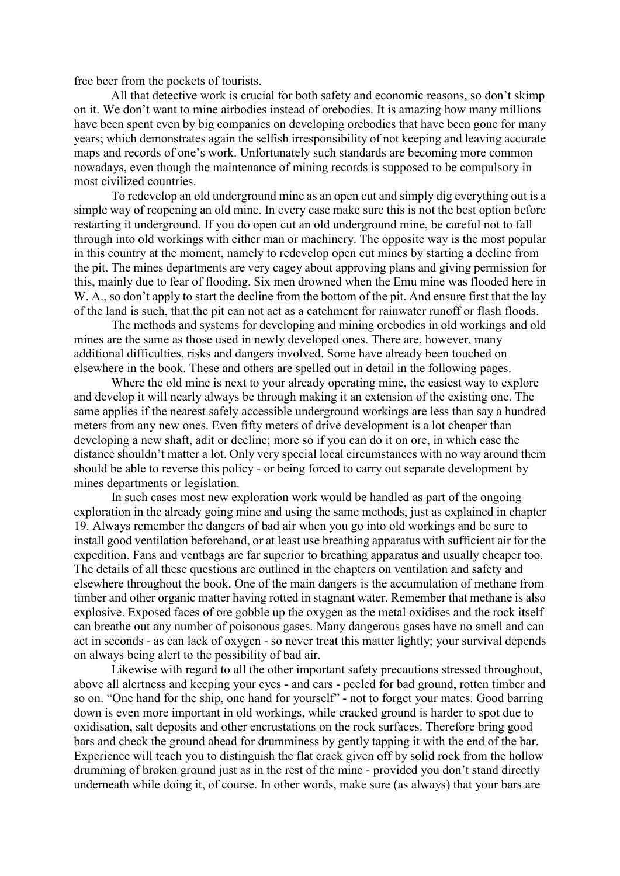free beer from the pockets of tourists.

All that detective work is crucial for both safety and economic reasons, so don't skimp on it. We don't want to mine airbodies instead of orebodies. It is amazing how many millions have been spent even by big companies on developing orebodies that have been gone for many years; which demonstrates again the selfish irresponsibility of not keeping and leaving accurate maps and records of one's work. Unfortunately such standards are becoming more common nowadays, even though the maintenance of mining records is supposed to be compulsory in most civilized countries.

 To redevelop an old underground mine as an open cut and simply dig everything out is a simple way of reopening an old mine. In every case make sure this is not the best option before restarting it underground. If you do open cut an old underground mine, be careful not to fall through into old workings with either man or machinery. The opposite way is the most popular in this country at the moment, namely to redevelop open cut mines by starting a decline from the pit. The mines departments are very cagey about approving plans and giving permission for this, mainly due to fear of flooding. Six men drowned when the Emu mine was flooded here in W. A., so don't apply to start the decline from the bottom of the pit. And ensure first that the lay of the land is such, that the pit can not act as a catchment for rainwater runoff or flash floods.

 The methods and systems for developing and mining orebodies in old workings and old mines are the same as those used in newly developed ones. There are, however, many additional difficulties, risks and dangers involved. Some have already been touched on elsewhere in the book. These and others are spelled out in detail in the following pages.

Where the old mine is next to your already operating mine, the easiest way to explore and develop it will nearly always be through making it an extension of the existing one. The same applies if the nearest safely accessible underground workings are less than say a hundred meters from any new ones. Even fifty meters of drive development is a lot cheaper than developing a new shaft, adit or decline; more so if you can do it on ore, in which case the distance shouldn't matter a lot. Only very special local circumstances with no way around them should be able to reverse this policy - or being forced to carry out separate development by mines departments or legislation.

 In such cases most new exploration work would be handled as part of the ongoing exploration in the already going mine and using the same methods, just as explained in chapter 19. Always remember the dangers of bad air when you go into old workings and be sure to install good ventilation beforehand, or at least use breathing apparatus with sufficient air for the expedition. Fans and ventbags are far superior to breathing apparatus and usually cheaper too. The details of all these questions are outlined in the chapters on ventilation and safety and elsewhere throughout the book. One of the main dangers is the accumulation of methane from timber and other organic matter having rotted in stagnant water. Remember that methane is also explosive. Exposed faces of ore gobble up the oxygen as the metal oxidises and the rock itself can breathe out any number of poisonous gases. Many dangerous gases have no smell and can act in seconds - as can lack of oxygen - so never treat this matter lightly; your survival depends on always being alert to the possibility of bad air.

 Likewise with regard to all the other important safety precautions stressed throughout, above all alertness and keeping your eyes - and ears - peeled for bad ground, rotten timber and so on. "One hand for the ship, one hand for yourself" - not to forget your mates. Good barring down is even more important in old workings, while cracked ground is harder to spot due to oxidisation, salt deposits and other encrustations on the rock surfaces. Therefore bring good bars and check the ground ahead for drumminess by gently tapping it with the end of the bar. Experience will teach you to distinguish the flat crack given off by solid rock from the hollow drumming of broken ground just as in the rest of the mine - provided you don't stand directly underneath while doing it, of course. In other words, make sure (as always) that your bars are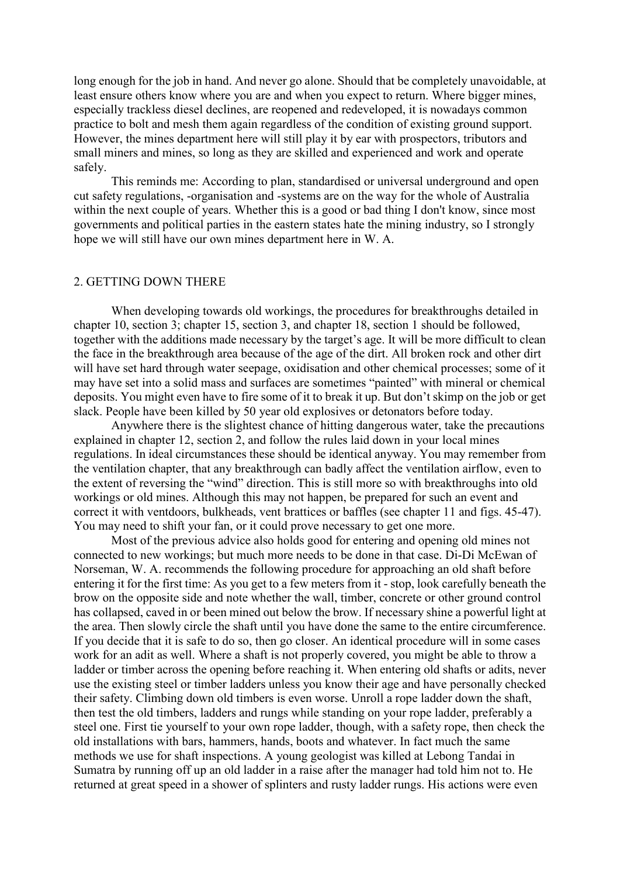long enough for the job in hand. And never go alone. Should that be completely unavoidable, at least ensure others know where you are and when you expect to return. Where bigger mines, especially trackless diesel declines, are reopened and redeveloped, it is nowadays common practice to bolt and mesh them again regardless of the condition of existing ground support. However, the mines department here will still play it by ear with prospectors, tributors and small miners and mines, so long as they are skilled and experienced and work and operate safely.

 This reminds me: According to plan, standardised or universal underground and open cut safety regulations, -organisation and -systems are on the way for the whole of Australia within the next couple of years. Whether this is a good or bad thing I don't know, since most governments and political parties in the eastern states hate the mining industry, so I strongly hope we will still have our own mines department here in W. A.

# 2. GETTING DOWN THERE

 When developing towards old workings, the procedures for breakthroughs detailed in chapter 10, section 3; chapter 15, section 3, and chapter 18, section 1 should be followed, together with the additions made necessary by the target's age. It will be more difficult to clean the face in the breakthrough area because of the age of the dirt. All broken rock and other dirt will have set hard through water seepage, oxidisation and other chemical processes; some of it may have set into a solid mass and surfaces are sometimes "painted" with mineral or chemical deposits. You might even have to fire some of it to break it up. But don't skimp on the job or get slack. People have been killed by 50 year old explosives or detonators before today.

 Anywhere there is the slightest chance of hitting dangerous water, take the precautions explained in chapter 12, section 2, and follow the rules laid down in your local mines regulations. In ideal circumstances these should be identical anyway. You may remember from the ventilation chapter, that any breakthrough can badly affect the ventilation airflow, even to the extent of reversing the "wind" direction. This is still more so with breakthroughs into old workings or old mines. Although this may not happen, be prepared for such an event and correct it with ventdoors, bulkheads, vent brattices or baffles (see chapter 11 and figs. 45-47). You may need to shift your fan, or it could prove necessary to get one more.

 Most of the previous advice also holds good for entering and opening old mines not connected to new workings; but much more needs to be done in that case. Di-Di McEwan of Norseman, W. A. recommends the following procedure for approaching an old shaft before entering it for the first time: As you get to a few meters from it - stop, look carefully beneath the brow on the opposite side and note whether the wall, timber, concrete or other ground control has collapsed, caved in or been mined out below the brow. If necessary shine a powerful light at the area. Then slowly circle the shaft until you have done the same to the entire circumference. If you decide that it is safe to do so, then go closer. An identical procedure will in some cases work for an adit as well. Where a shaft is not properly covered, you might be able to throw a ladder or timber across the opening before reaching it. When entering old shafts or adits, never use the existing steel or timber ladders unless you know their age and have personally checked their safety. Climbing down old timbers is even worse. Unroll a rope ladder down the shaft, then test the old timbers, ladders and rungs while standing on your rope ladder, preferably a steel one. First tie yourself to your own rope ladder, though, with a safety rope, then check the old installations with bars, hammers, hands, boots and whatever. In fact much the same methods we use for shaft inspections. A young geologist was killed at Lebong Tandai in Sumatra by running off up an old ladder in a raise after the manager had told him not to. He returned at great speed in a shower of splinters and rusty ladder rungs. His actions were even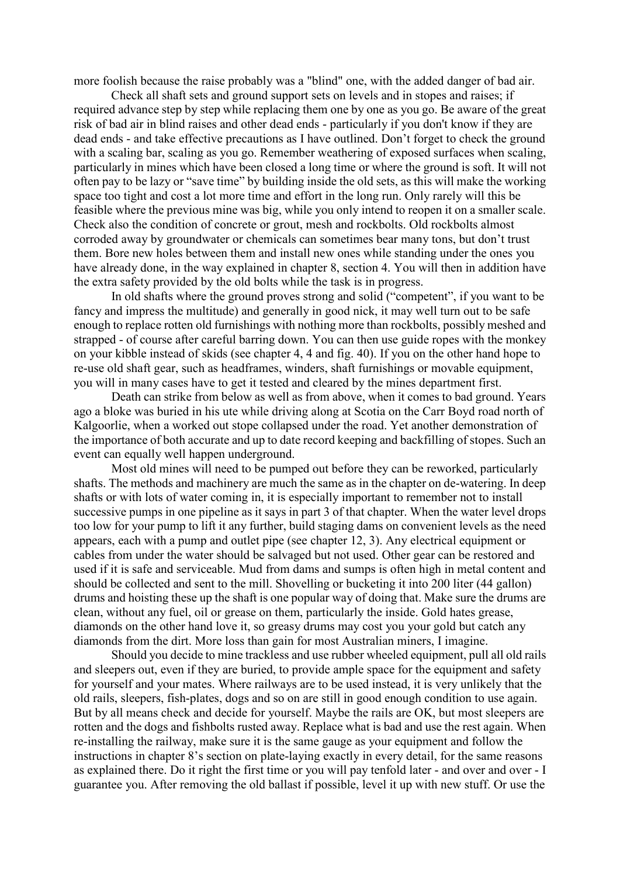more foolish because the raise probably was a "blind" one, with the added danger of bad air.

 Check all shaft sets and ground support sets on levels and in stopes and raises; if required advance step by step while replacing them one by one as you go. Be aware of the great risk of bad air in blind raises and other dead ends - particularly if you don't know if they are dead ends - and take effective precautions as I have outlined. Don't forget to check the ground with a scaling bar, scaling as you go. Remember weathering of exposed surfaces when scaling, particularly in mines which have been closed a long time or where the ground is soft. It will not often pay to be lazy or "save time" by building inside the old sets, as this will make the working space too tight and cost a lot more time and effort in the long run. Only rarely will this be feasible where the previous mine was big, while you only intend to reopen it on a smaller scale. Check also the condition of concrete or grout, mesh and rockbolts. Old rockbolts almost corroded away by groundwater or chemicals can sometimes bear many tons, but don't trust them. Bore new holes between them and install new ones while standing under the ones you have already done, in the way explained in chapter 8, section 4. You will then in addition have the extra safety provided by the old bolts while the task is in progress.

 In old shafts where the ground proves strong and solid ("competent", if you want to be fancy and impress the multitude) and generally in good nick, it may well turn out to be safe enough to replace rotten old furnishings with nothing more than rockbolts, possibly meshed and strapped - of course after careful barring down. You can then use guide ropes with the monkey on your kibble instead of skids (see chapter 4, 4 and fig. 40). If you on the other hand hope to re-use old shaft gear, such as headframes, winders, shaft furnishings or movable equipment, you will in many cases have to get it tested and cleared by the mines department first.

 Death can strike from below as well as from above, when it comes to bad ground. Years ago a bloke was buried in his ute while driving along at Scotia on the Carr Boyd road north of Kalgoorlie, when a worked out stope collapsed under the road. Yet another demonstration of the importance of both accurate and up to date record keeping and backfilling of stopes. Such an event can equally well happen underground.

 Most old mines will need to be pumped out before they can be reworked, particularly shafts. The methods and machinery are much the same as in the chapter on de-watering. In deep shafts or with lots of water coming in, it is especially important to remember not to install successive pumps in one pipeline as it says in part 3 of that chapter. When the water level drops too low for your pump to lift it any further, build staging dams on convenient levels as the need appears, each with a pump and outlet pipe (see chapter 12, 3). Any electrical equipment or cables from under the water should be salvaged but not used. Other gear can be restored and used if it is safe and serviceable. Mud from dams and sumps is often high in metal content and should be collected and sent to the mill. Shovelling or bucketing it into 200 liter (44 gallon) drums and hoisting these up the shaft is one popular way of doing that. Make sure the drums are clean, without any fuel, oil or grease on them, particularly the inside. Gold hates grease, diamonds on the other hand love it, so greasy drums may cost you your gold but catch any diamonds from the dirt. More loss than gain for most Australian miners, I imagine.

 Should you decide to mine trackless and use rubber wheeled equipment, pull all old rails and sleepers out, even if they are buried, to provide ample space for the equipment and safety for yourself and your mates. Where railways are to be used instead, it is very unlikely that the old rails, sleepers, fish-plates, dogs and so on are still in good enough condition to use again. But by all means check and decide for yourself. Maybe the rails are OK, but most sleepers are rotten and the dogs and fishbolts rusted away. Replace what is bad and use the rest again. When re-installing the railway, make sure it is the same gauge as your equipment and follow the instructions in chapter 8's section on plate-laying exactly in every detail, for the same reasons as explained there. Do it right the first time or you will pay tenfold later - and over and over - I guarantee you. After removing the old ballast if possible, level it up with new stuff. Or use the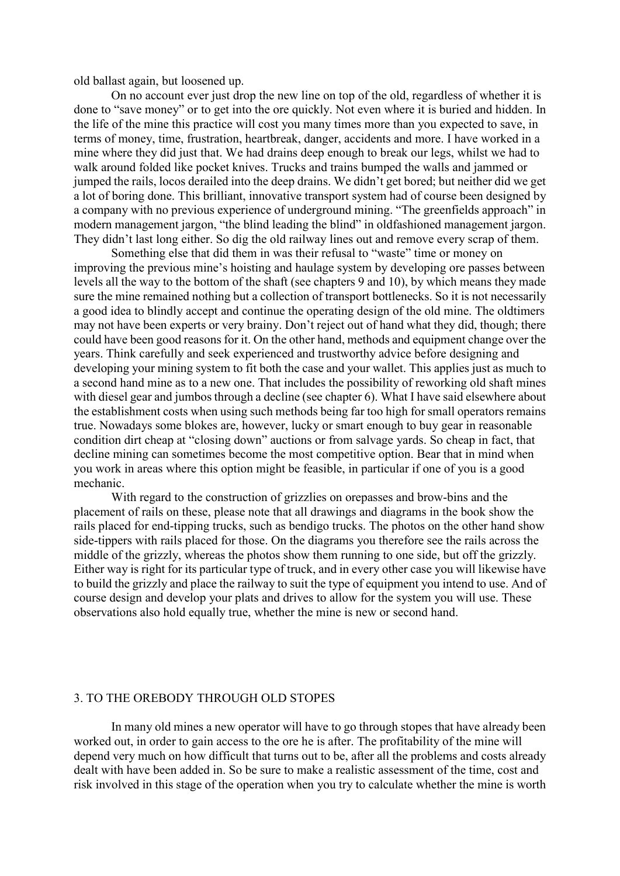old ballast again, but loosened up.

 On no account ever just drop the new line on top of the old, regardless of whether it is done to "save money" or to get into the ore quickly. Not even where it is buried and hidden. In the life of the mine this practice will cost you many times more than you expected to save, in terms of money, time, frustration, heartbreak, danger, accidents and more. I have worked in a mine where they did just that. We had drains deep enough to break our legs, whilst we had to walk around folded like pocket knives. Trucks and trains bumped the walls and jammed or jumped the rails, locos derailed into the deep drains. We didn't get bored; but neither did we get a lot of boring done. This brilliant, innovative transport system had of course been designed by a company with no previous experience of underground mining. "The greenfields approach" in modern management jargon, "the blind leading the blind" in oldfashioned management jargon. They didn't last long either. So dig the old railway lines out and remove every scrap of them.

 Something else that did them in was their refusal to "waste" time or money on improving the previous mine's hoisting and haulage system by developing ore passes between levels all the way to the bottom of the shaft (see chapters 9 and 10), by which means they made sure the mine remained nothing but a collection of transport bottlenecks. So it is not necessarily a good idea to blindly accept and continue the operating design of the old mine. The oldtimers may not have been experts or very brainy. Don't reject out of hand what they did, though; there could have been good reasons for it. On the other hand, methods and equipment change over the years. Think carefully and seek experienced and trustworthy advice before designing and developing your mining system to fit both the case and your wallet. This applies just as much to a second hand mine as to a new one. That includes the possibility of reworking old shaft mines with diesel gear and jumbos through a decline (see chapter 6). What I have said elsewhere about the establishment costs when using such methods being far too high for small operators remains true. Nowadays some blokes are, however, lucky or smart enough to buy gear in reasonable condition dirt cheap at "closing down" auctions or from salvage yards. So cheap in fact, that decline mining can sometimes become the most competitive option. Bear that in mind when you work in areas where this option might be feasible, in particular if one of you is a good mechanic.

 With regard to the construction of grizzlies on orepasses and brow-bins and the placement of rails on these, please note that all drawings and diagrams in the book show the rails placed for end-tipping trucks, such as bendigo trucks. The photos on the other hand show side-tippers with rails placed for those. On the diagrams you therefore see the rails across the middle of the grizzly, whereas the photos show them running to one side, but off the grizzly. Either way is right for its particular type of truck, and in every other case you will likewise have to build the grizzly and place the railway to suit the type of equipment you intend to use. And of course design and develop your plats and drives to allow for the system you will use. These observations also hold equally true, whether the mine is new or second hand.

#### 3. TO THE OREBODY THROUGH OLD STOPES

 In many old mines a new operator will have to go through stopes that have already been worked out, in order to gain access to the ore he is after. The profitability of the mine will depend very much on how difficult that turns out to be, after all the problems and costs already dealt with have been added in. So be sure to make a realistic assessment of the time, cost and risk involved in this stage of the operation when you try to calculate whether the mine is worth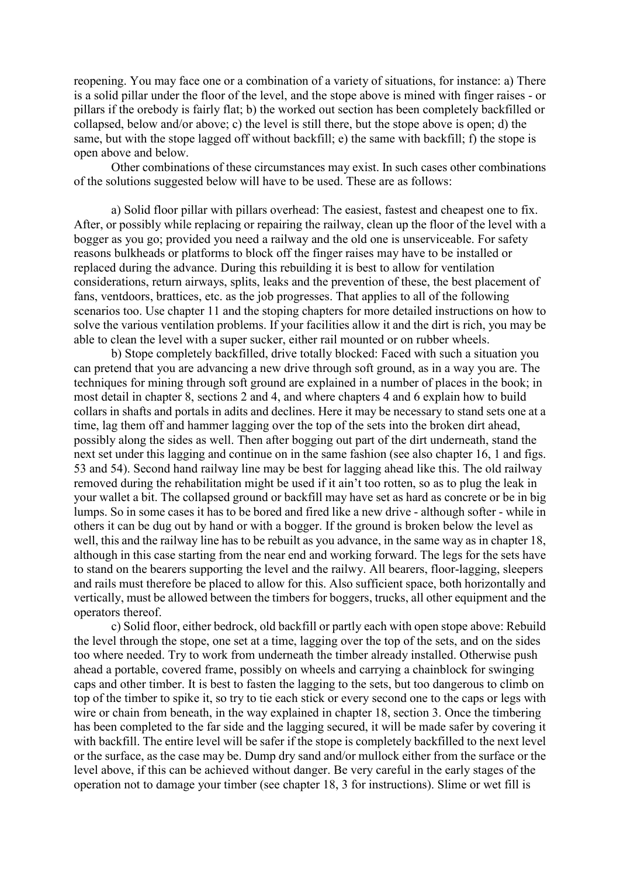reopening. You may face one or a combination of a variety of situations, for instance: a) There is a solid pillar under the floor of the level, and the stope above is mined with finger raises - or pillars if the orebody is fairly flat; b) the worked out section has been completely backfilled or collapsed, below and/or above; c) the level is still there, but the stope above is open; d) the same, but with the stope lagged off without backfill; e) the same with backfill; f) the stope is open above and below.

 Other combinations of these circumstances may exist. In such cases other combinations of the solutions suggested below will have to be used. These are as follows:

 a) Solid floor pillar with pillars overhead: The easiest, fastest and cheapest one to fix. After, or possibly while replacing or repairing the railway, clean up the floor of the level with a bogger as you go; provided you need a railway and the old one is unserviceable. For safety reasons bulkheads or platforms to block off the finger raises may have to be installed or replaced during the advance. During this rebuilding it is best to allow for ventilation considerations, return airways, splits, leaks and the prevention of these, the best placement of fans, ventdoors, brattices, etc. as the job progresses. That applies to all of the following scenarios too. Use chapter 11 and the stoping chapters for more detailed instructions on how to solve the various ventilation problems. If your facilities allow it and the dirt is rich, you may be able to clean the level with a super sucker, either rail mounted or on rubber wheels.

 b) Stope completely backfilled, drive totally blocked: Faced with such a situation you can pretend that you are advancing a new drive through soft ground, as in a way you are. The techniques for mining through soft ground are explained in a number of places in the book; in most detail in chapter 8, sections 2 and 4, and where chapters 4 and 6 explain how to build collars in shafts and portals in adits and declines. Here it may be necessary to stand sets one at a time, lag them off and hammer lagging over the top of the sets into the broken dirt ahead, possibly along the sides as well. Then after bogging out part of the dirt underneath, stand the next set under this lagging and continue on in the same fashion (see also chapter 16, 1 and figs. 53 and 54). Second hand railway line may be best for lagging ahead like this. The old railway removed during the rehabilitation might be used if it ain't too rotten, so as to plug the leak in your wallet a bit. The collapsed ground or backfill may have set as hard as concrete or be in big lumps. So in some cases it has to be bored and fired like a new drive - although softer - while in others it can be dug out by hand or with a bogger. If the ground is broken below the level as well, this and the railway line has to be rebuilt as you advance, in the same way as in chapter 18, although in this case starting from the near end and working forward. The legs for the sets have to stand on the bearers supporting the level and the railwy. All bearers, floor-lagging, sleepers and rails must therefore be placed to allow for this. Also sufficient space, both horizontally and vertically, must be allowed between the timbers for boggers, trucks, all other equipment and the operators thereof.

 c) Solid floor, either bedrock, old backfill or partly each with open stope above: Rebuild the level through the stope, one set at a time, lagging over the top of the sets, and on the sides too where needed. Try to work from underneath the timber already installed. Otherwise push ahead a portable, covered frame, possibly on wheels and carrying a chainblock for swinging caps and other timber. It is best to fasten the lagging to the sets, but too dangerous to climb on top of the timber to spike it, so try to tie each stick or every second one to the caps or legs with wire or chain from beneath, in the way explained in chapter 18, section 3. Once the timbering has been completed to the far side and the lagging secured, it will be made safer by covering it with backfill. The entire level will be safer if the stope is completely backfilled to the next level or the surface, as the case may be. Dump dry sand and/or mullock either from the surface or the level above, if this can be achieved without danger. Be very careful in the early stages of the operation not to damage your timber (see chapter 18, 3 for instructions). Slime or wet fill is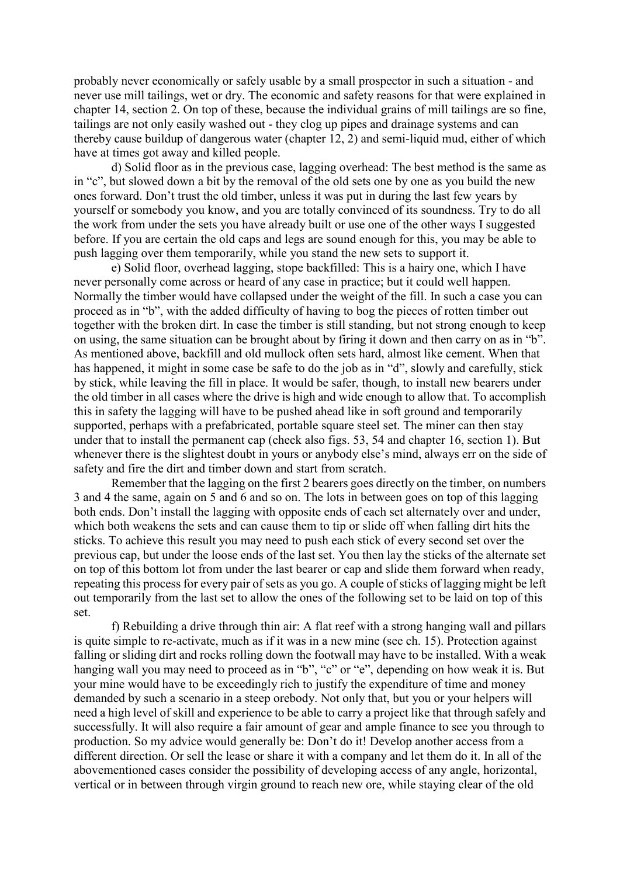probably never economically or safely usable by a small prospector in such a situation - and never use mill tailings, wet or dry. The economic and safety reasons for that were explained in chapter 14, section 2. On top of these, because the individual grains of mill tailings are so fine, tailings are not only easily washed out - they clog up pipes and drainage systems and can thereby cause buildup of dangerous water (chapter 12, 2) and semi-liquid mud, either of which have at times got away and killed people.

 d) Solid floor as in the previous case, lagging overhead: The best method is the same as in "c", but slowed down a bit by the removal of the old sets one by one as you build the new ones forward. Don't trust the old timber, unless it was put in during the last few years by yourself or somebody you know, and you are totally convinced of its soundness. Try to do all the work from under the sets you have already built or use one of the other ways I suggested before. If you are certain the old caps and legs are sound enough for this, you may be able to push lagging over them temporarily, while you stand the new sets to support it.

 e) Solid floor, overhead lagging, stope backfilled: This is a hairy one, which I have never personally come across or heard of any case in practice; but it could well happen. Normally the timber would have collapsed under the weight of the fill. In such a case you can proceed as in "b", with the added difficulty of having to bog the pieces of rotten timber out together with the broken dirt. In case the timber is still standing, but not strong enough to keep on using, the same situation can be brought about by firing it down and then carry on as in "b". As mentioned above, backfill and old mullock often sets hard, almost like cement. When that has happened, it might in some case be safe to do the job as in "d", slowly and carefully, stick by stick, while leaving the fill in place. It would be safer, though, to install new bearers under the old timber in all cases where the drive is high and wide enough to allow that. To accomplish this in safety the lagging will have to be pushed ahead like in soft ground and temporarily supported, perhaps with a prefabricated, portable square steel set. The miner can then stay under that to install the permanent cap (check also figs. 53, 54 and chapter 16, section 1). But whenever there is the slightest doubt in yours or anybody else's mind, always err on the side of safety and fire the dirt and timber down and start from scratch.

 Remember that the lagging on the first 2 bearers goes directly on the timber, on numbers 3 and 4 the same, again on 5 and 6 and so on. The lots in between goes on top of this lagging both ends. Don't install the lagging with opposite ends of each set alternately over and under, which both weakens the sets and can cause them to tip or slide off when falling dirt hits the sticks. To achieve this result you may need to push each stick of every second set over the previous cap, but under the loose ends of the last set. You then lay the sticks of the alternate set on top of this bottom lot from under the last bearer or cap and slide them forward when ready, repeating this process for every pair of sets as you go. A couple of sticks of lagging might be left out temporarily from the last set to allow the ones of the following set to be laid on top of this set.

 f) Rebuilding a drive through thin air: A flat reef with a strong hanging wall and pillars is quite simple to re-activate, much as if it was in a new mine (see ch. 15). Protection against falling or sliding dirt and rocks rolling down the footwall may have to be installed. With a weak hanging wall you may need to proceed as in "b", "c" or "e", depending on how weak it is. But your mine would have to be exceedingly rich to justify the expenditure of time and money demanded by such a scenario in a steep orebody. Not only that, but you or your helpers will need a high level of skill and experience to be able to carry a project like that through safely and successfully. It will also require a fair amount of gear and ample finance to see you through to production. So my advice would generally be: Don't do it! Develop another access from a different direction. Or sell the lease or share it with a company and let them do it. In all of the abovementioned cases consider the possibility of developing access of any angle, horizontal, vertical or in between through virgin ground to reach new ore, while staying clear of the old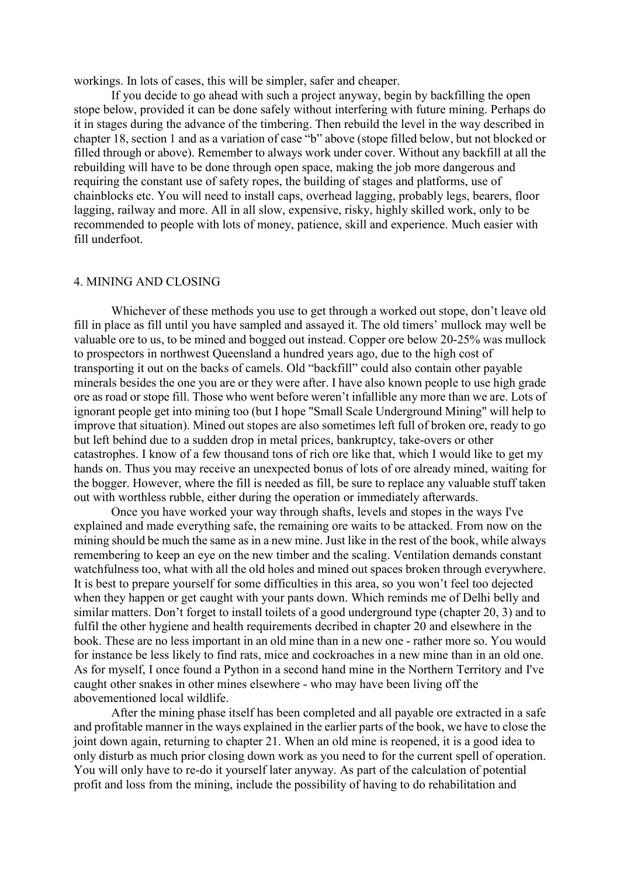workings. In lots of cases, this will be simpler, safer and cheaper.

 If you decide to go ahead with such a project anyway, begin by backfilling the open stope below, provided it can be done safely without interfering with future mining. Perhaps do it in stages during the advance of the timbering. Then rebuild the level in the way described in chapter 18, section 1 and as a variation of case "b" above (stope filled below, but not blocked or filled through or above). Remember to always work under cover. Without any backfill at all the rebuilding will have to be done through open space, making the job more dangerous and requiring the constant use of safety ropes, the building of stages and platforms, use of chainblocks etc. You will need to install caps, overhead lagging, probably legs, bearers, floor lagging, railway and more. All in all slow, expensive, risky, highly skilled work, only to be recommended to people with lots of money, patience, skill and experience. Much easier with fill underfoot.

## 4. MINING AND CLOSING

 Whichever of these methods you use to get through a worked out stope, don't leave old fill in place as fill until you have sampled and assayed it. The old timers' mullock may well be valuable ore to us, to be mined and bogged out instead. Copper ore below 20-25% was mullock to prospectors in northwest Queensland a hundred years ago, due to the high cost of transporting it out on the backs of camels. Old "backfill" could also contain other payable minerals besides the one you are or they were after. I have also known people to use high grade ore as road or stope fill. Those who went before weren't infallible any more than we are. Lots of ignorant people get into mining too (but I hope "Small Scale Underground Mining" will help to improve that situation). Mined out stopes are also sometimes left full of broken ore, ready to go but left behind due to a sudden drop in metal prices, bankruptcy, take-overs or other catastrophes. I know of a few thousand tons of rich ore like that, which I would like to get my hands on. Thus you may receive an unexpected bonus of lots of ore already mined, waiting for the bogger. However, where the fill is needed as fill, be sure to replace any valuable stuff taken out with worthless rubble, either during the operation or immediately afterwards.

 Once you have worked your way through shafts, levels and stopes in the ways I've explained and made everything safe, the remaining ore waits to be attacked. From now on the mining should be much the same as in a new mine. Just like in the rest of the book, while always remembering to keep an eye on the new timber and the scaling. Ventilation demands constant watchfulness too, what with all the old holes and mined out spaces broken through everywhere. It is best to prepare yourself for some difficulties in this area, so you won't feel too dejected when they happen or get caught with your pants down. Which reminds me of Delhi belly and similar matters. Don't forget to install toilets of a good underground type (chapter 20, 3) and to fulfil the other hygiene and health requirements decribed in chapter 20 and elsewhere in the book. These are no less important in an old mine than in a new one - rather more so. You would for instance be less likely to find rats, mice and cockroaches in a new mine than in an old one. As for myself, I once found a Python in a second hand mine in the Northern Territory and I've caught other snakes in other mines elsewhere - who may have been living off the abovementioned local wildlife.

 After the mining phase itself has been completed and all payable ore extracted in a safe and profitable manner in the ways explained in the earlier parts of the book, we have to close the joint down again, returning to chapter 21. When an old mine is reopened, it is a good idea to only disturb as much prior closing down work as you need to for the current spell of operation. You will only have to re-do it yourself later anyway. As part of the calculation of potential profit and loss from the mining, include the possibility of having to do rehabilitation and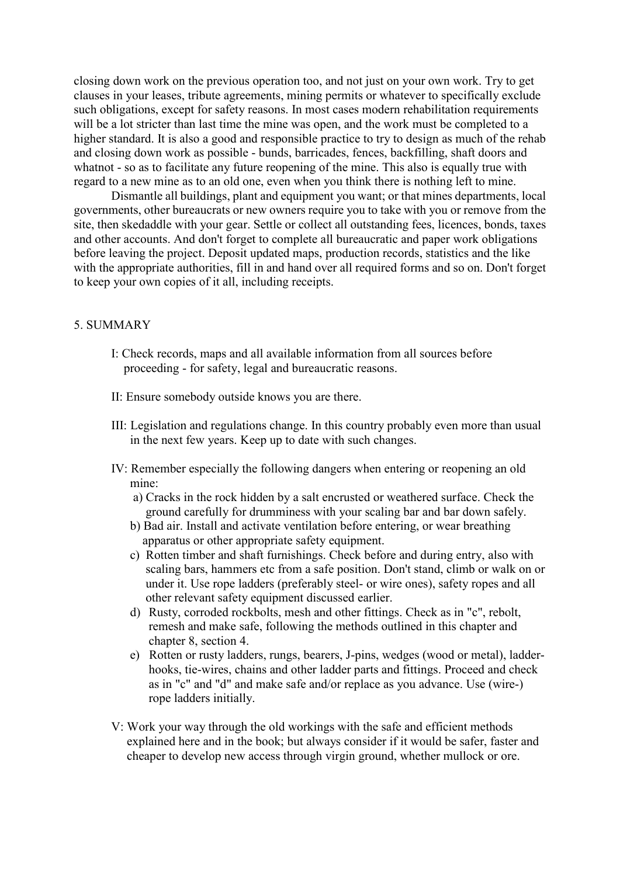closing down work on the previous operation too, and not just on your own work. Try to get clauses in your leases, tribute agreements, mining permits or whatever to specifically exclude such obligations, except for safety reasons. In most cases modern rehabilitation requirements will be a lot stricter than last time the mine was open, and the work must be completed to a higher standard. It is also a good and responsible practice to try to design as much of the rehab and closing down work as possible - bunds, barricades, fences, backfilling, shaft doors and whatnot - so as to facilitate any future reopening of the mine. This also is equally true with regard to a new mine as to an old one, even when you think there is nothing left to mine.

Dismantle all buildings, plant and equipment you want; or that mines departments, local governments, other bureaucrats or new owners require you to take with you or remove from the site, then skedaddle with your gear. Settle or collect all outstanding fees, licences, bonds, taxes and other accounts. And don't forget to complete all bureaucratic and paper work obligations before leaving the project. Deposit updated maps, production records, statistics and the like with the appropriate authorities, fill in and hand over all required forms and so on. Don't forget to keep your own copies of it all, including receipts.

# 5. SUMMARY

- I: Check records, maps and all available information from all sources before proceeding - for safety, legal and bureaucratic reasons.
- II: Ensure somebody outside knows you are there.
- III: Legislation and regulations change. In this country probably even more than usual in the next few years. Keep up to date with such changes.
- IV: Remember especially the following dangers when entering or reopening an old mine:
	- a) Cracks in the rock hidden by a salt encrusted or weathered surface. Check the ground carefully for drumminess with your scaling bar and bar down safely.
	- b) Bad air. Install and activate ventilation before entering, or wear breathing apparatus or other appropriate safety equipment.
	- c) Rotten timber and shaft furnishings. Check before and during entry, also with scaling bars, hammers etc from a safe position. Don't stand, climb or walk on or under it. Use rope ladders (preferably steel- or wire ones), safety ropes and all other relevant safety equipment discussed earlier.
	- d) Rusty, corroded rockbolts, mesh and other fittings. Check as in "c", rebolt, remesh and make safe, following the methods outlined in this chapter and chapter 8, section 4.
	- e) Rotten or rusty ladders, rungs, bearers, J-pins, wedges (wood or metal), ladder hooks, tie-wires, chains and other ladder parts and fittings. Proceed and check as in "c" and "d" and make safe and/or replace as you advance. Use (wire-) rope ladders initially.
- V: Work your way through the old workings with the safe and efficient methods explained here and in the book; but always consider if it would be safer, faster and cheaper to develop new access through virgin ground, whether mullock or ore.